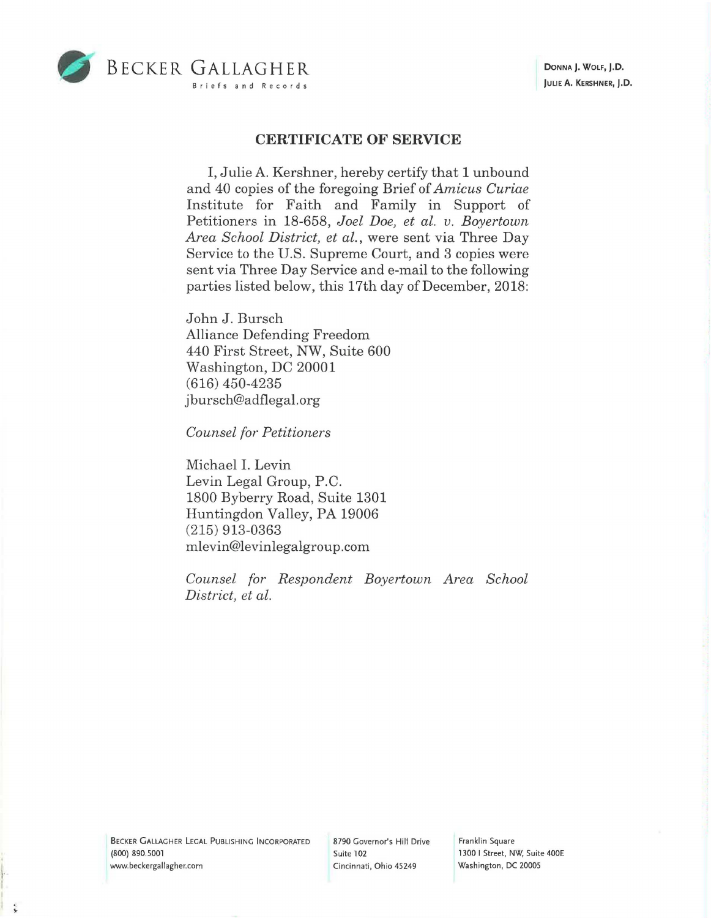

## **CERTIFICATE OF SERVICE**

I, Julie A. Kershner, hereby certify that 1 unbound and 40 copies of the foregoing Brief of *Amicus Curiae*  Institute for Faith and Family in Support of Petitioners in 18-658, *Joel Doe, et al. v. Boyertown Area School District, et al.,* were sent via Three Day Service to the U.S. Supreme Court, and 3 copies were sent via Three Day Service and e-mail to the following parties listed below, this 17th day of December, 2018:

John J. Bursch Alliance Defending Freedom 440 First Street, NW, Suite 600 Washington, DC 20001 (616) 450-4235 jbursch@adflegal.org

*Counsel for Petitioners* 

Michael I. Levin Levin Legal Group, P.C. 1800 Byberry Road, Suite 1301 Huntingdon Valley, PA 19006 (215) 913-0363 mlevin@levinlegalgroup.com

*Counsel for Respondent Boyertown Area School District, et al.* 

BECKER GALLAGHER LEGAL PUBLISHING INCORPORATED **(800)** 890.5001 www.beckergallagher.com

• 1· I

8790 Governor's Hill Drive Suite 102 Cincinnati, Ohio 45249

Franklin Square 1300 I Street, NW, Suite 400E Washington, DC 20005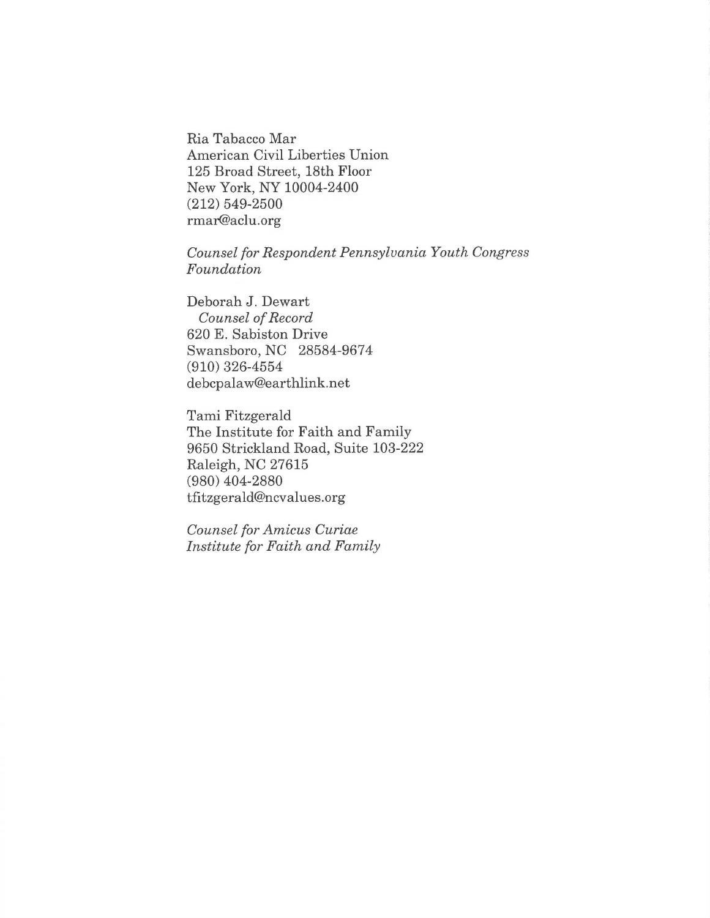Ria Tabacco Mar American Civil Liberties Union 125 Broad Street, 18th Floor New York, NY 10004-2400 (212) 549-2500 rmar@aclu.org

*Counsel for Respondent Pennsylvania Youth Congress Foundation* 

Deborah J. Dewart *Counsel of Record*  620 E. Sabiston Drive Swansboro, NC 28584-9674 (910) 326-4554 debcpalaw@earthlink.net

Tami Fitzgerald The Institute for Faith and Family 9650 Strickland Road, Suite 103-222 Raleigh, NC 27615 (980) 404-2880 tfitzgerald@ncvalues.org

*Counsel for Amicus Curiae Institute for Faith and Family*